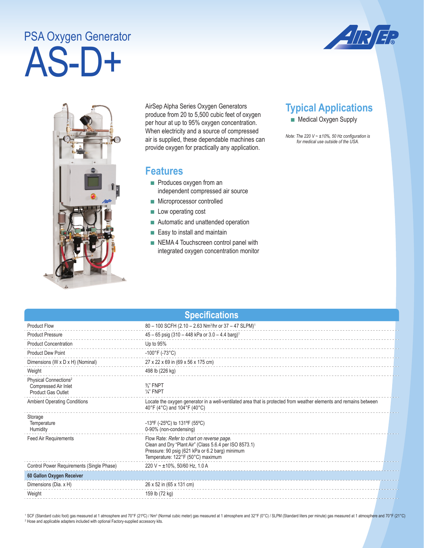## AS-D+ PSA Oxygen Generator





AirSep Alpha Series Oxygen Generators produce from 20 to 5,500 cubic feet of oxygen per hour at up to 95% oxygen concentration. When electricity and a source of compressed air is supplied, these dependable machines can provide oxygen for practically any application.

## **Features**

- Produces oxygen from an independent compressed air source
- Microprocessor controlled
- Low operating cost
- Automatic and unattended operation
- Easy to install and maintain
- NEMA 4 Touchscreen control panel with integrated oxygen concentration monitor

## **Typical Applications**

■ Medical Oxygen Supply

*Note: The 220 V ~ ±10%, 50 Hz configuration is for medical use outside of the USA.* 

| <b>Specifications</b> |  |
|-----------------------|--|
|                       |  |

| <b>Product Flow</b>                                                                    | 80 - 100 SCFH (2.10 - 2.63 Nm <sup>3</sup> /hr or 37 - 47 SLPM) <sup>1</sup>                                                                                                                 |
|----------------------------------------------------------------------------------------|----------------------------------------------------------------------------------------------------------------------------------------------------------------------------------------------|
| <b>Product Pressure</b>                                                                | $45 - 65$ psig (310 - 448 kPa or 3.0 - 4.4 barg) <sup>1</sup>                                                                                                                                |
| <b>Product Concentration</b>                                                           | Up to 95%                                                                                                                                                                                    |
| <b>Product Dew Point</b>                                                               | $-100^{\circ}$ F (-73 $^{\circ}$ C)                                                                                                                                                          |
| Dimensions (W x D x H) (Nominal)                                                       | 27 x 22 x 69 in (69 x 56 x 175 cm)                                                                                                                                                           |
| Weight                                                                                 | 498 lb (226 kg)                                                                                                                                                                              |
| Physical Connections <sup>2</sup><br>Compressed Air Inlet<br><b>Product Gas Outlet</b> | $\frac{3}{8}$ " FNPT<br>$\frac{1}{4}$ " FNPT                                                                                                                                                 |
| <b>Ambient Operating Conditions</b>                                                    | Locate the oxygen generator in a well-ventilated area that is protected from weather elements and remains between<br>40°F (4°C) and 104°F (40°C)                                             |
| Storage<br>Temperature<br>Humidity                                                     | -13°F (-25°C) to 131°F (55°C)<br>0-90% (non-condensing)                                                                                                                                      |
| Feed Air Requirements                                                                  | Flow Rate: Refer to chart on reverse page.<br>Clean and Dry "Plant Air" (Class 5.6.4 per ISO 8573.1)<br>Pressure: 90 psig (621 kPa or 6.2 barg) minimum<br>Temperature: 122°F (50°C) maximum |
| Control Power Requirements (Single Phase)                                              | 220 V ~ $\pm$ 10%, 50/60 Hz, 1.0 A                                                                                                                                                           |
| 60 Gallon Oxygen Receiver                                                              |                                                                                                                                                                                              |
| Dimensions (Dia. x H)                                                                  | 26 x 52 in (65 x 131 cm)                                                                                                                                                                     |
| Weight                                                                                 | 159 lb (72 kg)                                                                                                                                                                               |

<sup>1</sup> SCF (Standard cubic foot) gas measured at 1 atmosphere and 70°F (21°C) / Nm<sup>3</sup> (Normal cubic meter) gas measured at 1 atmosphere and 32°F (0°C) / SLPM (Standard liters per minute) gas measured at 1 atmosphere and 70°F <sup>2</sup> Hose and applicable adapters included with optional Factory-supplied accessory kits.